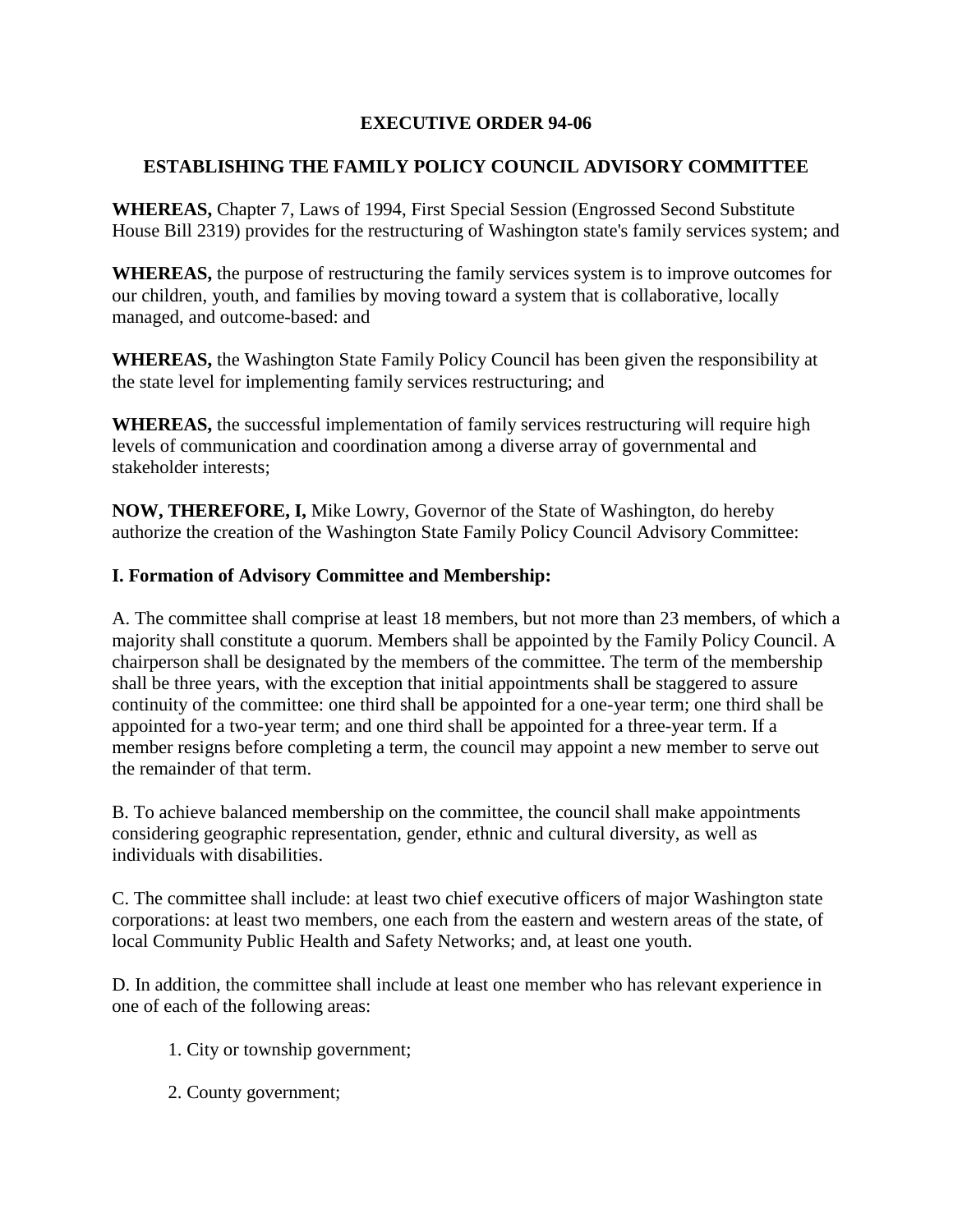## **EXECUTIVE ORDER 94-06**

# **ESTABLISHING THE FAMILY POLICY COUNCIL ADVISORY COMMITTEE**

**WHEREAS,** Chapter 7, Laws of 1994, First Special Session (Engrossed Second Substitute House Bill 2319) provides for the restructuring of Washington state's family services system; and

**WHEREAS,** the purpose of restructuring the family services system is to improve outcomes for our children, youth, and families by moving toward a system that is collaborative, locally managed, and outcome-based: and

**WHEREAS,** the Washington State Family Policy Council has been given the responsibility at the state level for implementing family services restructuring; and

**WHEREAS,** the successful implementation of family services restructuring will require high levels of communication and coordination among a diverse array of governmental and stakeholder interests;

**NOW, THEREFORE, I,** Mike Lowry, Governor of the State of Washington, do hereby authorize the creation of the Washington State Family Policy Council Advisory Committee:

### **I. Formation of Advisory Committee and Membership:**

A. The committee shall comprise at least 18 members, but not more than 23 members, of which a majority shall constitute a quorum. Members shall be appointed by the Family Policy Council. A chairperson shall be designated by the members of the committee. The term of the membership shall be three years, with the exception that initial appointments shall be staggered to assure continuity of the committee: one third shall be appointed for a one-year term; one third shall be appointed for a two-year term; and one third shall be appointed for a three-year term. If a member resigns before completing a term, the council may appoint a new member to serve out the remainder of that term.

B. To achieve balanced membership on the committee, the council shall make appointments considering geographic representation, gender, ethnic and cultural diversity, as well as individuals with disabilities.

C. The committee shall include: at least two chief executive officers of major Washington state corporations: at least two members, one each from the eastern and western areas of the state, of local Community Public Health and Safety Networks; and, at least one youth.

D. In addition, the committee shall include at least one member who has relevant experience in one of each of the following areas:

- 1. City or township government;
- 2. County government;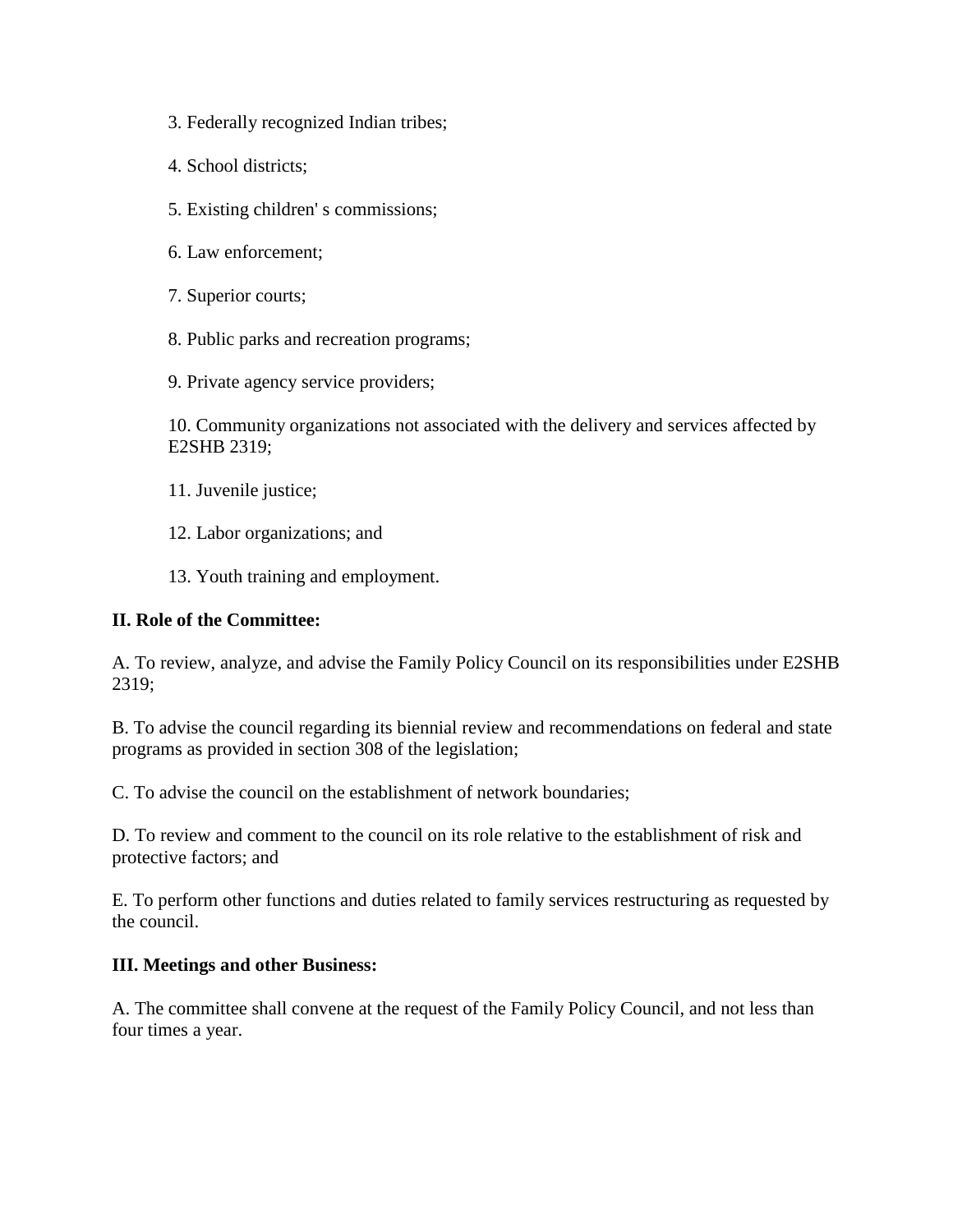- 3. Federally recognized Indian tribes;
- 4. School districts;
- 5. Existing children' s commissions;
- 6. Law enforcement;
- 7. Superior courts;
- 8. Public parks and recreation programs;
- 9. Private agency service providers;

10. Community organizations not associated with the delivery and services affected by E2SHB 2319;

- 11. Juvenile justice;
- 12. Labor organizations; and
- 13. Youth training and employment.

#### **II. Role of the Committee:**

A. To review, analyze, and advise the Family Policy Council on its responsibilities under E2SHB 2319;

B. To advise the council regarding its biennial review and recommendations on federal and state programs as provided in section 308 of the legislation;

C. To advise the council on the establishment of network boundaries;

D. To review and comment to the council on its role relative to the establishment of risk and protective factors; and

E. To perform other functions and duties related to family services restructuring as requested by the council.

#### **III. Meetings and other Business:**

A. The committee shall convene at the request of the Family Policy Council, and not less than four times a year.